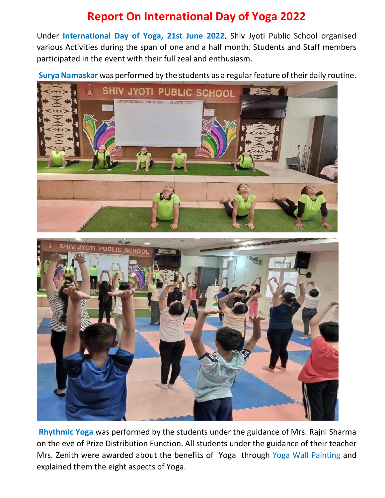## **Report On International Day of Yoga 2022**

Under **International Day of Yoga, 21st June 2022**, Shiv Jyoti Public School organised various Activities during the span of one and a half month. Students and Staff members participated in the event with their full zeal and enthusiasm.

**Surya Namaskar** was performed by the students as a regular feature of their daily routine.



**Rhythmic Yoga** was performed by the students under the guidance of Mrs. Rajni Sharma on the eve of Prize Distribution Function. All students under the guidance of their teacher Mrs. Zenith were awarded about the benefits of Yoga through Yoga Wall Painting and explained them the eight aspects of Yoga.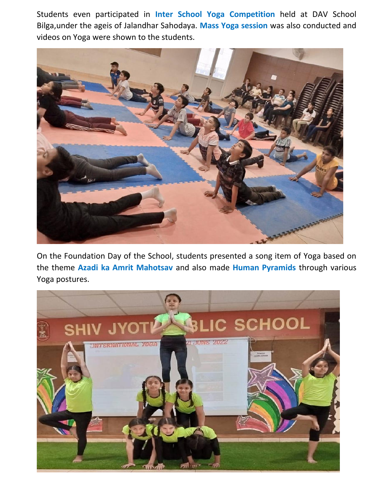Students even participated in **Inter School Yoga Competition** held at DAV School Bilga,under the ageis of Jalandhar Sahodaya. **Mass Yoga session** was also conducted and videos on Yoga were shown to the students.



On the Foundation Day of the School, students presented a song item of Yoga based on the theme **Azadi ka Amrit Mahotsav** and also made **Human Pyramids** through various Yoga postures.